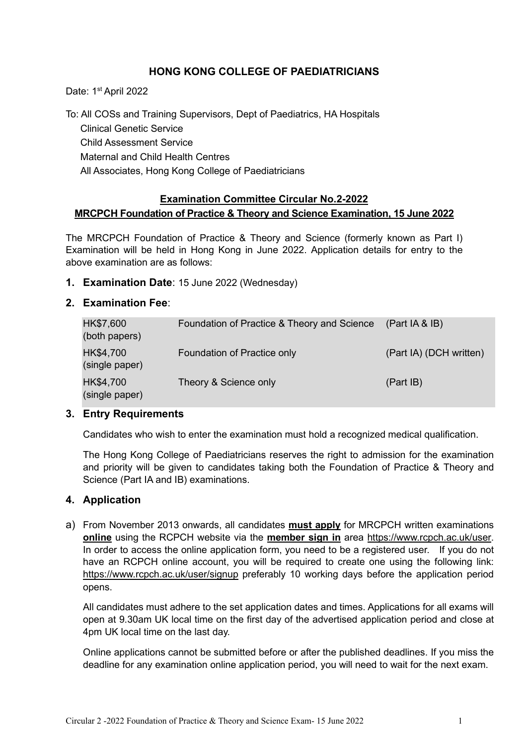# **HONG KONG COLLEGE OF PAEDIATRICIANS**

Date: 1<sup>st</sup> April 2022

To: All COSs and Training Supervisors, Dept of Paediatrics, HA Hospitals Clinical Genetic Service Child Assessment Service Maternal and Child Health Centres All Associates, Hong Kong College of Paediatricians

## **Examination Committee Circular No.2-2022 MRCPCH Foundation of Practice & Theory and Science Examination, 15 June 2022**

The MRCPCH Foundation of Practice & Theory and Science (formerly known as Part I) Examination will be held in Hong Kong in June 2022. Application details for entry to the above examination are as follows:

### **1. Examination Date**: 15 June 2022 (Wednesday)

### **2. Examination Fee**:

| HK\$7,600<br>(both papers)  | Foundation of Practice & Theory and Science | (Part IA & IB)          |
|-----------------------------|---------------------------------------------|-------------------------|
| HK\$4,700<br>(single paper) | Foundation of Practice only                 | (Part IA) (DCH written) |
| HK\$4,700<br>(single paper) | Theory & Science only                       | (Part IB)               |

### **3. Entry Requirements**

Candidates who wish to enter the examination must hold a recognized medical qualification.

The Hong Kong College of Paediatricians reserves the right to admission for the examination and priority will be given to candidates taking both the Foundation of Practice & Theory and Science (Part IA and IB) examinations.

### **4. Application**

a) From November 2013 onwards, all candidates **must apply** for MRCPCH written examinations **online** using the RCPCH website via the **member sign in** area [https://www.rcpch.ac.uk/user.](https://www.rcpch.ac.uk/user) In order to access the online application form, you need to be a registered user. If you do not have an RCPCH online account, you will be required to create one using the following link: <https://www.rcpch.ac.uk/user/signup> preferably 10 working days before the application period opens.

All candidates must adhere to the set application dates and times. Applications for all exams will open at 9.30am UK local time on the first day of the advertised application period and close at 4pm UK local time on the last day.

Online applications cannot be submitted before or after the published deadlines. If you miss the deadline for any examination online application period, you will need to wait for the next exam.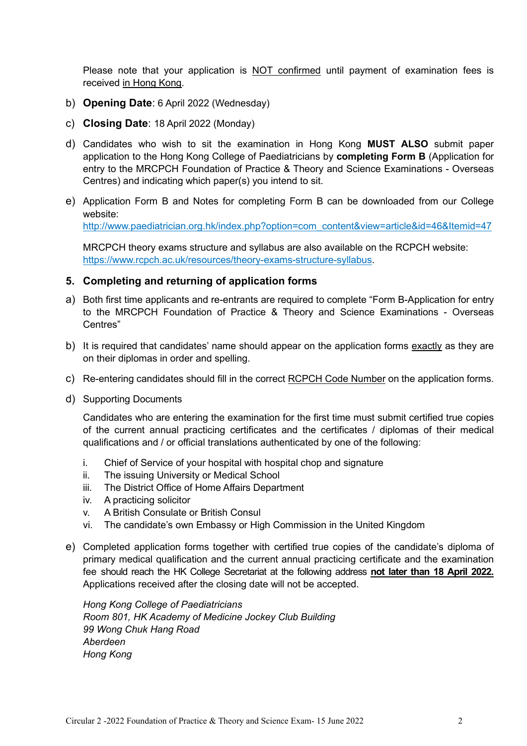Please note that your application is NOT confirmed until payment of examination fees is received in Hong Kong.

- b) **Opening Date**: 6 April 2022 (Wednesday)
- c) **Closing Date**: 18 April 2022 (Monday)
- d) Candidates who wish to sit the examination in Hong Kong **MUST ALSO** submit paper application to the Hong Kong College of Paediatricians by **completing Form B** (Application for entry to the MRCPCH Foundation of Practice & Theory and Science Examinations - Overseas Centres) and indicating which paper(s) you intend to sit.
- e) Application Form B and Notes for completing Form B can be downloaded from our College website:

[http://www.paediatrician.org.hk/index.php?option=com\\_content&view=article&id=46&Itemid=47](http://www.paediatrician.org.hk/index.php?option=com_content&view=article&id=46&Itemid=47)

MRCPCH theory exams structure and syllabus are also available on the RCPCH website: [https://www.rcpch.ac.uk/resources/theory-exams-structure-syllabus.](https://www.rcpch.ac.uk/resources/theory-exams-structure-syllabus)

### **5. Completing and returning of application forms**

- a) Both first time applicants and re-entrants are required to complete "Form B-Application for entry to the MRCPCH Foundation of Practice & Theory and Science Examinations - Overseas Centres"
- b) It is required that candidates' name should appear on the application forms exactly as they are on their diplomas in order and spelling.
- c) Re-entering candidates should fill in the correct RCPCH Code Number on the application forms.
- d) Supporting Documents

Candidates who are entering the examination for the first time must submit certified true copies of the current annual practicing certificates and the certificates / diplomas of their medical qualifications and / or official translations authenticated by one of the following:

- i. Chief of Service of your hospital with hospital chop and signature
- ii. The issuing University or Medical School
- iii. The District Office of Home Affairs Department
- iv. A practicing solicitor
- v. A British Consulate or British Consul
- vi. The candidate's own Embassy or High Commission in the United Kingdom
- e) Completed application forms together with certified true copies of the candidate's diploma of primary medical qualification and the current annual practicing certificate and the examination fee should reach the HK College Secretariat at the following address **not later than 18 April 2022.** Applications received after the closing date will not be accepted.

*Hong Kong College of Paediatricians Room 801, HK Academy of Medicine Jockey Club Building 99 Wong Chuk Hang Road Aberdeen Hong Kong*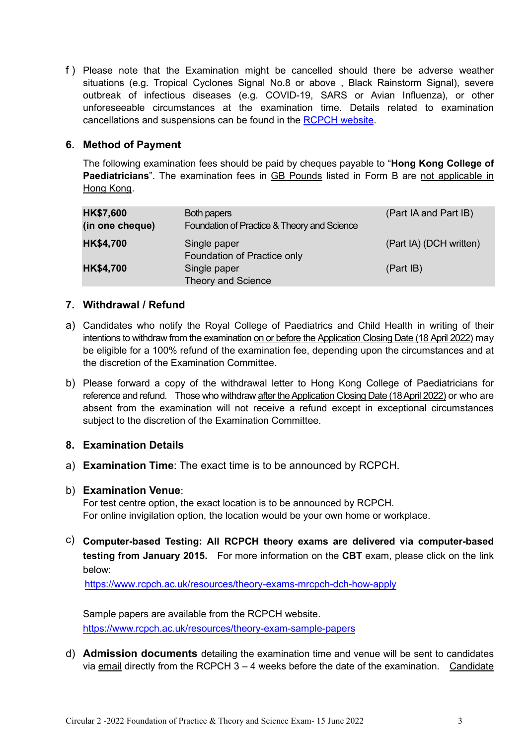f ) Please note that the Examination might be cancelled should there be adverse weather situations (e.g. Tropical Cyclones Signal No.8 or above , Black Rainstorm Signal), severe outbreak of infectious diseases (e.g. COVID-19, SARS or Avian Influenza), or other unforeseeable circumstances at the examination time. Details related to examination cancellations and suspensions can be found in the [RCPCH website.](https://www.rcpch.ac.uk/sites/default/files/2019-09/Appendix%20F.%20Cancellation%20or%20suspension%20of%20MRCPCH%20DCH%20examinations.v.1.1.29.7.17.pdf)

## **6. Method of Payment**

The following examination fees should be paid by cheques payable to "**Hong Kong College of Paediatricians**". The examination fees in GB Pounds listed in Form B are not applicable in Hong Kong.

| <b>HK\$7,600</b><br>(in one cheque) | Both papers<br>Foundation of Practice & Theory and Science | (Part IA and Part IB)   |
|-------------------------------------|------------------------------------------------------------|-------------------------|
| <b>HK\$4,700</b>                    | Single paper<br>Foundation of Practice only                | (Part IA) (DCH written) |
| <b>HK\$4,700</b>                    | Single paper<br><b>Theory and Science</b>                  | (Part IB)               |

### **7. Withdrawal / Refund**

- a) Candidates who notify the Royal College of Paediatrics and Child Health in writing of their intentions to withdraw from the examination on or before the Application Closing Date (18 April 2022) may be eligible for a 100% refund of the examination fee, depending upon the circumstances and at the discretion of the Examination Committee.
- b) Please forward a copy of the withdrawal letter to Hong Kong College of Paediatricians for reference and refund. Those who withdraw after the Application Closing Date (18 April 2022) or who are absent from the examination will not receive a refund except in exceptional circumstances subject to the discretion of the Examination Committee.

## **8. Examination Details**

a) **Examination Time**: The exact time is to be announced by RCPCH.

### b) **Examination Venue**:

For test centre option, the exact location is to be announced by RCPCH. For online invigilation option, the location would be your own home or workplace.

c) **Computer-based Testing: All RCPCH theory exams are delivered via computer-based testing from January 2015.** For more information on the **CBT** exam, please click on the link below:

<https://www.rcpch.ac.uk/resources/theory-exams-mrcpch-dch-how-apply>

Sample papers are available from the RCPCH website. <https://www.rcpch.ac.uk/resources/theory-exam-sample-papers>

d) **Admission documents** detailing the examination time and venue will be sent to candidates via email directly from the RCPCH 3 – 4 weeks before the date of the examination. Candidate